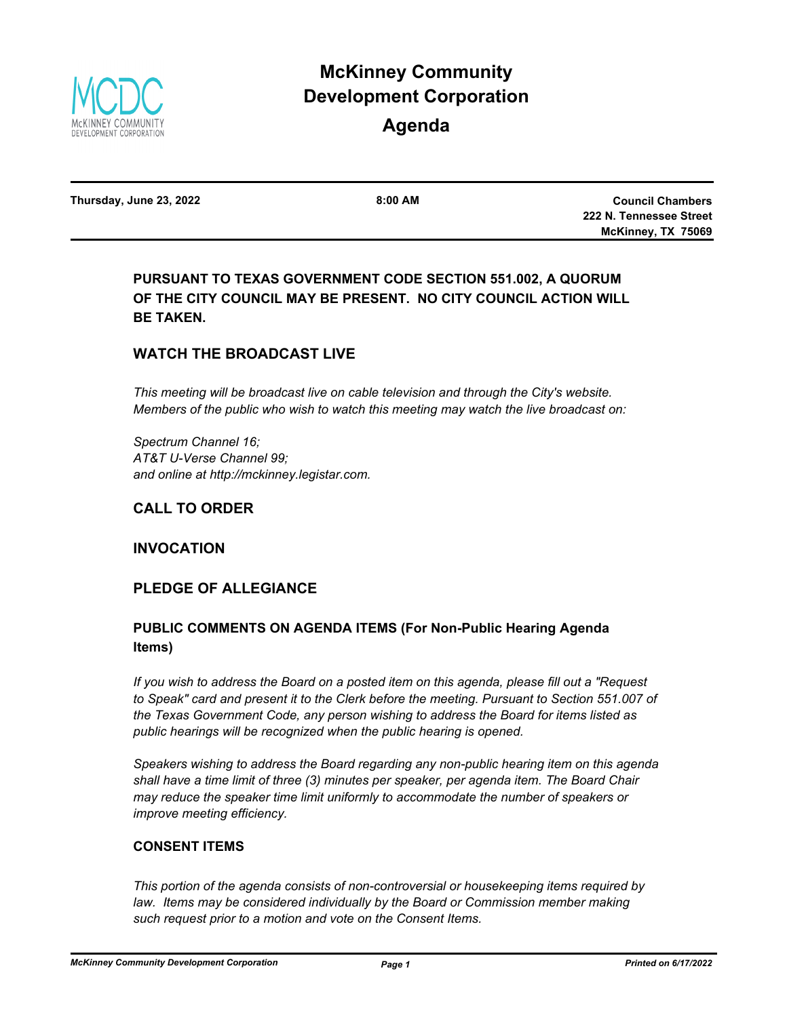

# **McKinney Community Development Corporation**

# **Agenda**

**Thursday, June 23, 2022 8:00 AM**

**Council Chambers 222 N. Tennessee Street McKinney, TX 75069**

# **PURSUANT TO TEXAS GOVERNMENT CODE SECTION 551.002, A QUORUM OF THE CITY COUNCIL MAY BE PRESENT. NO CITY COUNCIL ACTION WILL BE TAKEN.**

# **WATCH THE BROADCAST LIVE**

*This meeting will be broadcast live on cable television and through the City's website. Members of the public who wish to watch this meeting may watch the live broadcast on:*

*Spectrum Channel 16; AT&T U-Verse Channel 99; and online at http://mckinney.legistar.com.*

# **CALL TO ORDER**

### **INVOCATION**

### **PLEDGE OF ALLEGIANCE**

# **PUBLIC COMMENTS ON AGENDA ITEMS (For Non-Public Hearing Agenda Items)**

*If you wish to address the Board on a posted item on this agenda, please fill out a "Request to Speak" card and present it to the Clerk before the meeting. Pursuant to Section 551.007 of the Texas Government Code, any person wishing to address the Board for items listed as public hearings will be recognized when the public hearing is opened.*

*Speakers wishing to address the Board regarding any non-public hearing item on this agenda shall have a time limit of three (3) minutes per speaker, per agenda item. The Board Chair may reduce the speaker time limit uniformly to accommodate the number of speakers or improve meeting efficiency.*

#### **CONSENT ITEMS**

*This portion of the agenda consists of non-controversial or housekeeping items required by*  law. Items may be considered individually by the Board or Commission member making *such request prior to a motion and vote on the Consent Items.*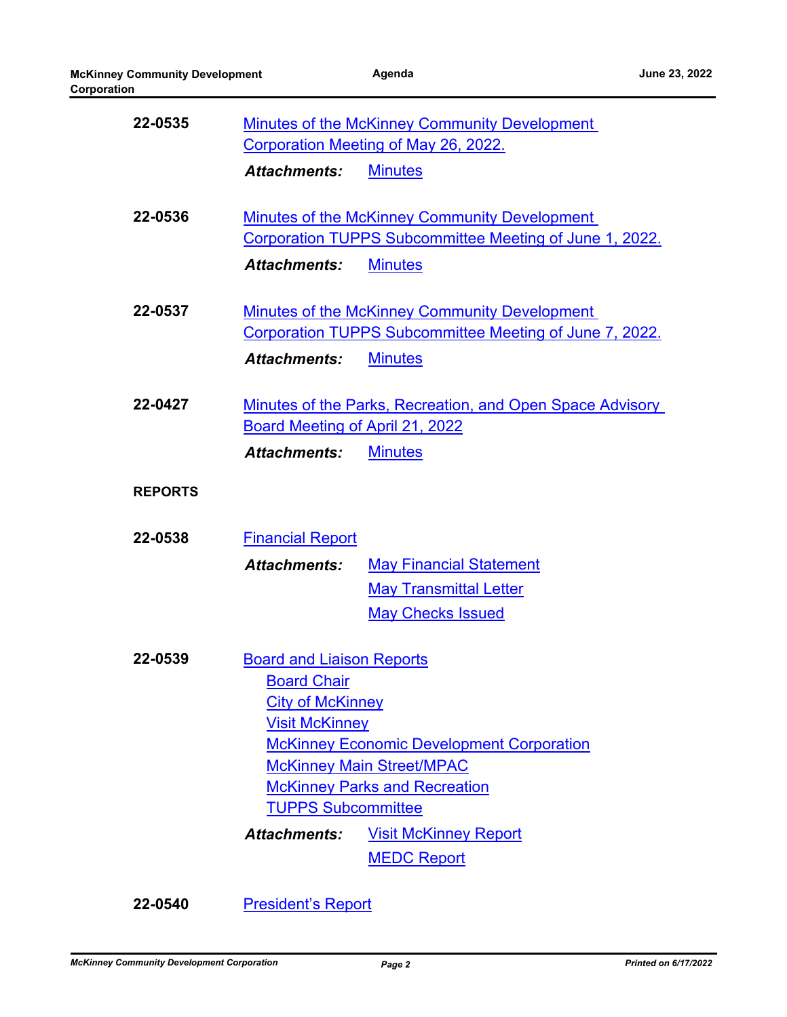| 22-0535        |                                                                                                                                                                                                               | Minutes of the McKinney Community Development                                                                                     |  |
|----------------|---------------------------------------------------------------------------------------------------------------------------------------------------------------------------------------------------------------|-----------------------------------------------------------------------------------------------------------------------------------|--|
|                | Corporation Meeting of May 26, 2022.                                                                                                                                                                          |                                                                                                                                   |  |
|                | <b>Attachments:</b>                                                                                                                                                                                           | <b>Minutes</b>                                                                                                                    |  |
| 22-0536        | <b>Attachments:</b>                                                                                                                                                                                           | <b>Minutes of the McKinney Community Development</b><br>Corporation TUPPS Subcommittee Meeting of June 1, 2022.<br><b>Minutes</b> |  |
| 22-0537        |                                                                                                                                                                                                               | Minutes of the McKinney Community Development<br>Corporation TUPPS Subcommittee Meeting of June 7, 2022.                          |  |
|                | <b>Attachments:</b>                                                                                                                                                                                           | <b>Minutes</b>                                                                                                                    |  |
| 22-0427        | Board Meeting of April 21, 2022<br><b>Attachments:</b>                                                                                                                                                        | Minutes of the Parks, Recreation, and Open Space Advisory<br><b>Minutes</b>                                                       |  |
| <b>REPORTS</b> |                                                                                                                                                                                                               |                                                                                                                                   |  |
| 22-0538        | <b>Financial Report</b>                                                                                                                                                                                       |                                                                                                                                   |  |
|                | <b>Attachments:</b>                                                                                                                                                                                           | <b>May Financial Statement</b>                                                                                                    |  |
|                |                                                                                                                                                                                                               | <b>May Transmittal Letter</b>                                                                                                     |  |
|                |                                                                                                                                                                                                               | <b>May Checks Issued</b>                                                                                                          |  |
| 22-0539        | <b>Board and Liaison Reports</b><br><b>Board Chair</b>                                                                                                                                                        |                                                                                                                                   |  |
|                |                                                                                                                                                                                                               |                                                                                                                                   |  |
|                | <b>City of McKinney</b><br><b>Visit McKinney</b><br><b>McKinney Economic Development Corporation</b><br><b>McKinney Main Street/MPAC</b><br><b>McKinney Parks and Recreation</b><br><b>TUPPS Subcommittee</b> |                                                                                                                                   |  |
|                |                                                                                                                                                                                                               |                                                                                                                                   |  |
|                |                                                                                                                                                                                                               |                                                                                                                                   |  |
|                |                                                                                                                                                                                                               |                                                                                                                                   |  |
|                |                                                                                                                                                                                                               |                                                                                                                                   |  |
|                | <b>Attachments:</b>                                                                                                                                                                                           | <b>Visit McKinney Report</b>                                                                                                      |  |
|                |                                                                                                                                                                                                               | <b>MEDC Report</b>                                                                                                                |  |

**22-0540** [President's Report](http://mckinney.legistar.com/gateway.aspx?m=l&id=23914)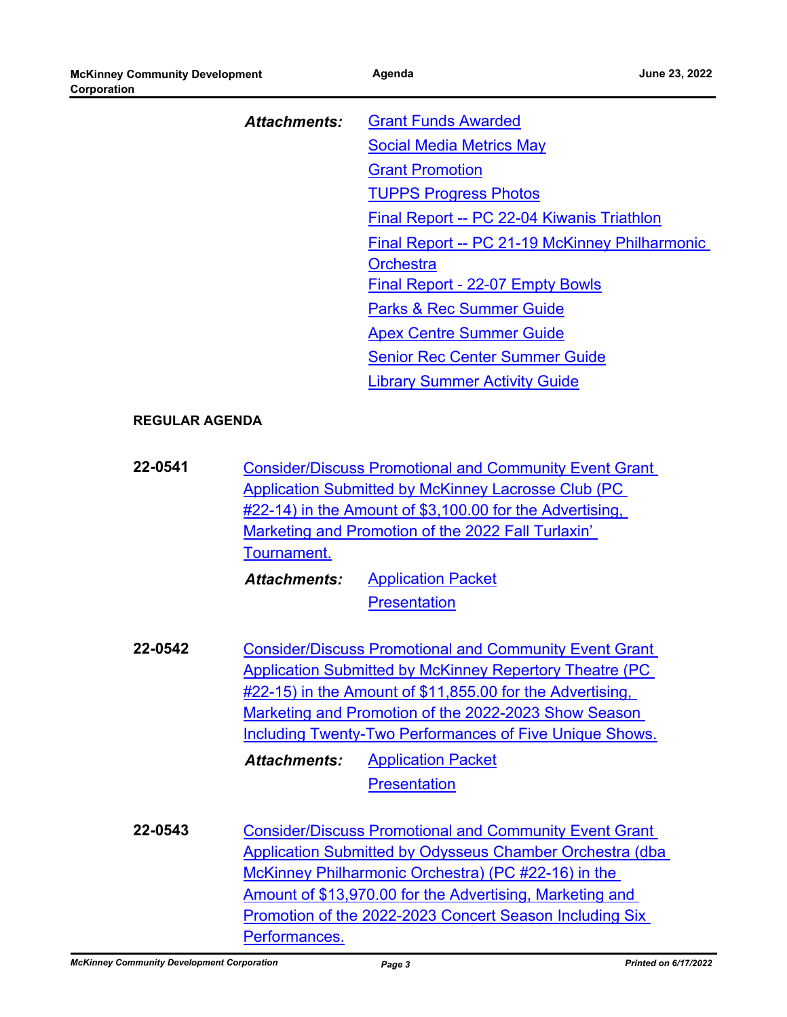| Affachments: | <b>Grant Funds Awarded</b>                     |  |
|--------------|------------------------------------------------|--|
|              | <b>Social Media Metrics May</b>                |  |
|              | <b>Grant Promotion</b>                         |  |
|              | <b>TUPPS Progress Photos</b>                   |  |
|              | Final Report -- PC 22-04 Kiwanis Triathlon     |  |
|              | Final Report -- PC 21-19 McKinney Philharmonic |  |
|              | <b>Orchestra</b>                               |  |
|              | <b>Final Report - 22-07 Empty Bowls</b>        |  |
|              | <b>Parks &amp; Rec Summer Guide</b>            |  |
|              | <b>Apex Centre Summer Guide</b>                |  |
|              | <b>Senior Rec Center Summer Guide</b>          |  |
|              | <b>Library Summer Activity Guide</b>           |  |

#### **REGULAR AGENDA**

| 22-0541 | <b>Consider/Discuss Promotional and Community Event Grant</b> |
|---------|---------------------------------------------------------------|
|         | Application Submitted by McKinney Lacrosse Club (PC           |
|         | #22-14) in the Amount of \$3,100.00 for the Advertising,      |
|         | Marketing and Promotion of the 2022 Fall Turlaxin'            |
|         | Tournament.                                                   |
|         |                                                               |

[Application Packet](http://McKinney.legistar.com/gateway.aspx?M=F&ID=2feeda34-aae4-40a2-993b-f0652c85d844.pdf) **[Presentation](http://McKinney.legistar.com/gateway.aspx?M=F&ID=45bdc4f7-6391-4766-8197-390e23a3a14d.pdf)** *Attachments:*

**22-0542** [Consider/Discuss Promotional and Community Event Grant](http://mckinney.legistar.com/gateway.aspx?m=l&id=23924)  Application Submitted by McKinney Repertory Theatre (PC #22-15) in the Amount of \$11,855.00 for the Advertising, Marketing and Promotion of the 2022-2023 Show Season **Including Twenty-Two Performances of Five Unique Shows.** [Application Packet](http://McKinney.legistar.com/gateway.aspx?M=F&ID=d1443066-26fd-4162-b5b5-9558d08dcd1c.pdf) *Attachments:*

**[Presentation](http://McKinney.legistar.com/gateway.aspx?M=F&ID=16865ebe-251c-47cf-8ce1-469f0980f74d.pdf)** 

**22-0543** Consider/Discuss Promotional and Community Event Grant [Application Submitted by Odysseus Chamber Orchestra \(dba](http://mckinney.legistar.com/gateway.aspx?m=l&id=23925)  McKinney Philharmonic Orchestra) (PC #22-16) in the Amount of \$13,970.00 for the Advertising, Marketing and Promotion of the 2022-2023 Concert Season Including Six Performances.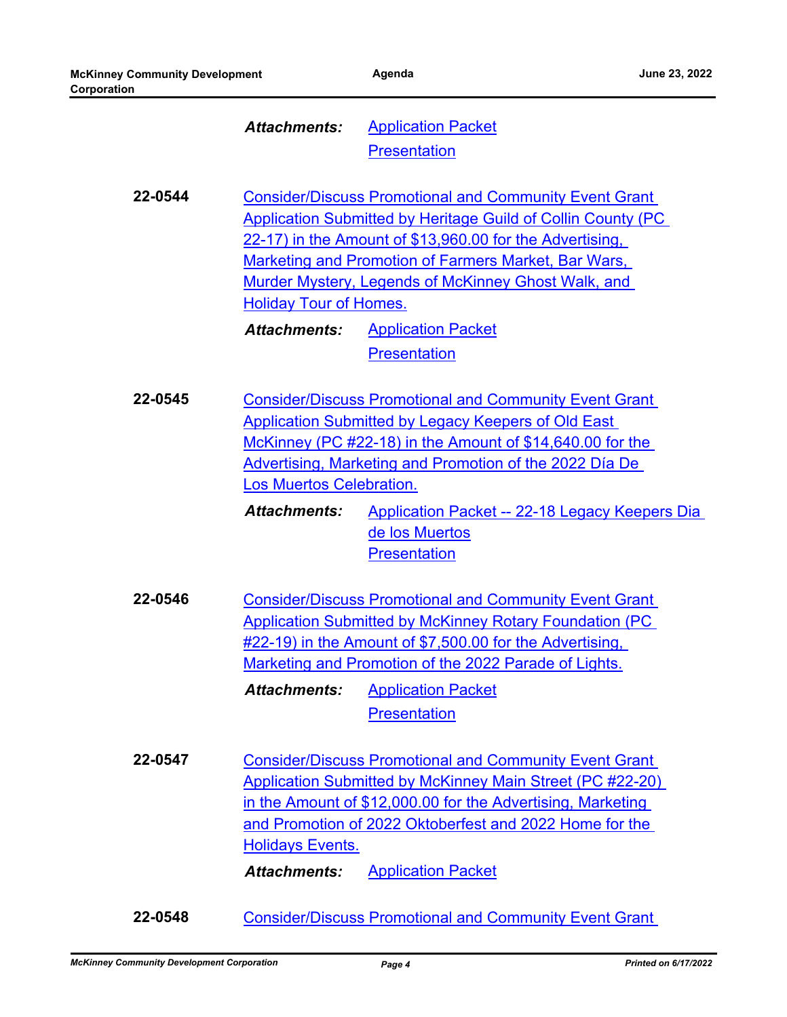#### [Application Packet](http://McKinney.legistar.com/gateway.aspx?M=F&ID=f94f778c-00fa-499b-b9a3-8a55f82a938d.pdf) **[Presentation](http://McKinney.legistar.com/gateway.aspx?M=F&ID=9a617c15-8123-4004-a983-47cbb753ff53.pdf)** *Attachments:*

**22-0544** Consider/Discuss Promotional and Community Event Grant [Application Submitted by Heritage Guild of Collin County \(PC](http://mckinney.legistar.com/gateway.aspx?m=l&id=23927)  22-17) in the Amount of \$13,960.00 for the Advertising, Marketing and Promotion of Farmers Market, Bar Wars, Murder Mystery, Legends of McKinney Ghost Walk, and Holiday Tour of Homes.

[Application Packet](http://McKinney.legistar.com/gateway.aspx?M=F&ID=99f98ee6-d8f1-4434-9e09-708fe10f3d6d.pdf) **[Presentation](http://McKinney.legistar.com/gateway.aspx?M=F&ID=72082363-6db4-491f-b014-428ddcc59a2d.pdf)** *Attachments:*

**22-0545** [Consider/Discuss Promotional and Community Event Grant](http://mckinney.legistar.com/gateway.aspx?m=l&id=23928)  Application Submitted by Legacy Keepers of Old East McKinney (PC #22-18) in the Amount of \$14,640.00 for the Advertising, Marketing and Promotion of the 2022 Día De Los Muertos Celebration.

> [Application Packet -- 22-18 Legacy Keepers Dia](http://McKinney.legistar.com/gateway.aspx?M=F&ID=9d87e22a-dadd-493f-84a4-0ceac470c643.pdf)  de los Muertos **[Presentation](http://McKinney.legistar.com/gateway.aspx?M=F&ID=9196060d-64c7-4813-b653-dc39d67c7c53.pdf)** *Attachments:*

**22-0546** [Consider/Discuss Promotional and Community Event Grant](http://mckinney.legistar.com/gateway.aspx?m=l&id=23929)  Application Submitted by McKinney Rotary Foundation (PC #22-19) in the Amount of \$7,500.00 for the Advertising, Marketing and Promotion of the 2022 Parade of Lights. [Application Packet](http://McKinney.legistar.com/gateway.aspx?M=F&ID=a9559b86-4b87-4783-b309-cc9eaa898897.pdf) **[Presentation](http://McKinney.legistar.com/gateway.aspx?M=F&ID=f1918862-8c26-4538-9baf-bb9339b81b4b.pdf)** *Attachments:*

**22-0547** Consider/Discuss Promotional and Community Event Grant [Application Submitted by McKinney Main Street \(PC #22-20\)](http://mckinney.legistar.com/gateway.aspx?m=l&id=23931)  in the Amount of \$12,000.00 for the Advertising, Marketing and Promotion of 2022 Oktoberfest and 2022 Home for the Holidays Events.

*Attachments:* [Application Packet](http://McKinney.legistar.com/gateway.aspx?M=F&ID=a847d6f1-5f40-4d8f-9568-99347af7efc3.pdf)

**22-0548** [Consider/Discuss Promotional and Community Event Grant](http://mckinney.legistar.com/gateway.aspx?m=l&id=23932)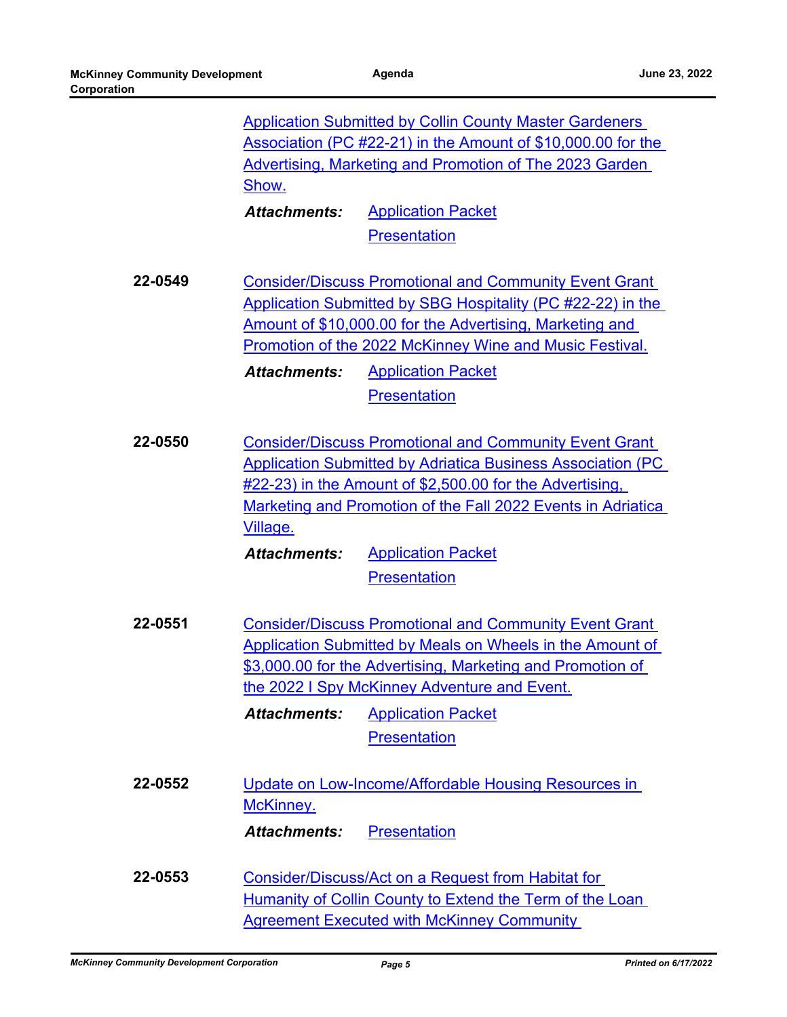|         | <b>Application Submitted by Collin County Master Gardeners</b><br>Association (PC #22-21) in the Amount of \$10,000.00 for the<br><b>Advertising, Marketing and Promotion of The 2023 Garden</b><br>Show.                                                                        |                                                                                                                                                                                                                                                 |  |
|---------|----------------------------------------------------------------------------------------------------------------------------------------------------------------------------------------------------------------------------------------------------------------------------------|-------------------------------------------------------------------------------------------------------------------------------------------------------------------------------------------------------------------------------------------------|--|
|         | <b>Attachments:</b>                                                                                                                                                                                                                                                              | <b>Application Packet</b>                                                                                                                                                                                                                       |  |
|         |                                                                                                                                                                                                                                                                                  | <b>Presentation</b>                                                                                                                                                                                                                             |  |
| 22-0549 | <b>Consider/Discuss Promotional and Community Event Grant</b><br>Application Submitted by SBG Hospitality (PC #22-22) in the<br>Amount of \$10,000.00 for the Advertising, Marketing and<br>Promotion of the 2022 McKinney Wine and Music Festival.                              |                                                                                                                                                                                                                                                 |  |
|         | <b>Attachments:</b>                                                                                                                                                                                                                                                              | <b>Application Packet</b>                                                                                                                                                                                                                       |  |
|         |                                                                                                                                                                                                                                                                                  | <b>Presentation</b>                                                                                                                                                                                                                             |  |
| 22-0550 | <b>Consider/Discuss Promotional and Community Event Grant</b><br><b>Application Submitted by Adriatica Business Association (PC)</b><br>$\#22-23$ ) in the Amount of \$2,500.00 for the Advertising,<br>Marketing and Promotion of the Fall 2022 Events in Adriatica<br>Village. |                                                                                                                                                                                                                                                 |  |
|         | <b>Attachments:</b>                                                                                                                                                                                                                                                              | <b>Application Packet</b>                                                                                                                                                                                                                       |  |
|         |                                                                                                                                                                                                                                                                                  | <b>Presentation</b>                                                                                                                                                                                                                             |  |
| 22-0551 |                                                                                                                                                                                                                                                                                  | <b>Consider/Discuss Promotional and Community Event Grant</b><br><b>Application Submitted by Meals on Wheels in the Amount of</b><br>\$3,000.00 for the Advertising, Marketing and Promotion of<br>the 2022 I Spy McKinney Adventure and Event. |  |
|         | <b>Attachments:</b>                                                                                                                                                                                                                                                              | <b>Application Packet</b>                                                                                                                                                                                                                       |  |
|         |                                                                                                                                                                                                                                                                                  | <b>Presentation</b>                                                                                                                                                                                                                             |  |
| 22-0552 | McKinney.                                                                                                                                                                                                                                                                        | Update on Low-Income/Affordable Housing Resources in                                                                                                                                                                                            |  |
|         | <b>Attachments:</b>                                                                                                                                                                                                                                                              | <b>Presentation</b>                                                                                                                                                                                                                             |  |
| 22-0553 |                                                                                                                                                                                                                                                                                  | Consider/Discuss/Act on a Request from Habitat for<br>Humanity of Collin County to Extend the Term of the Loan<br><b>Agreement Executed with McKinney Community</b>                                                                             |  |